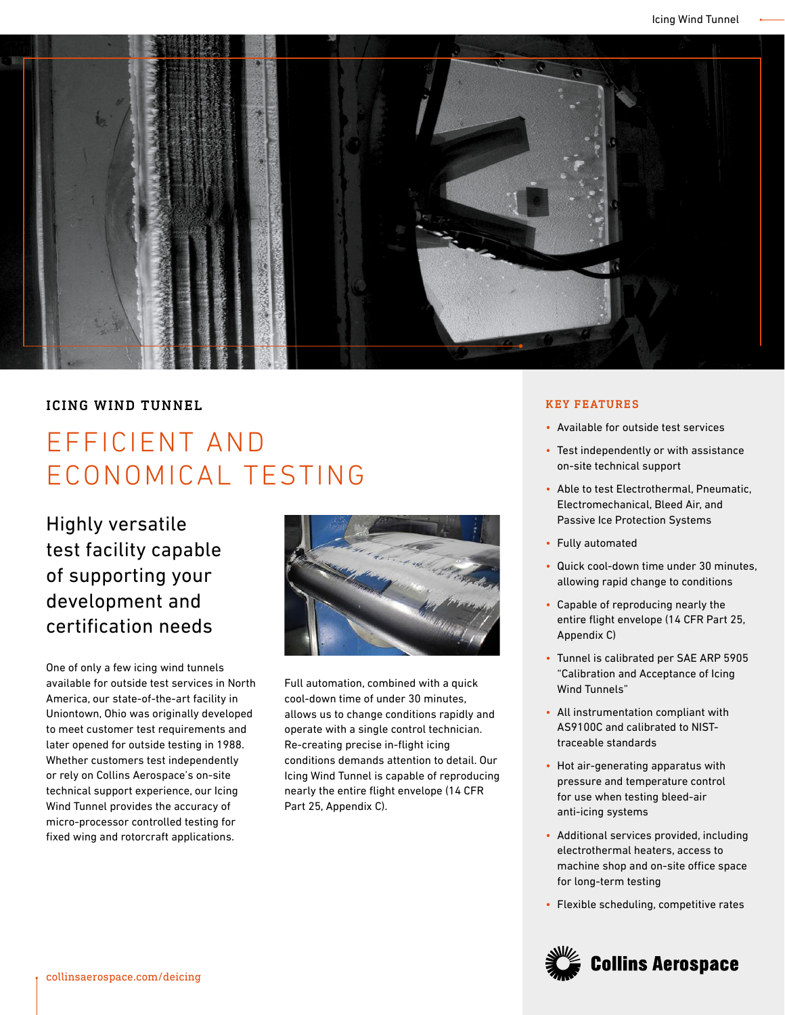

## ICING WIND TUNNEL

## EFFICIENT AND ECONOMICAL TESTING

Highly versatile test facility capable of supporting your development and certification needs

One of only a few icing wind tunnels available for outside test services in North America, our state-of-the-art facility in Uniontown, Ohio was originally developed to meet customer test requirements and later opened for outside testing in 1988. Whether customers test independently or rely on Collins Aerospace's on-site technical support experience, our Icing Wind Tunnel provides the accuracy of micro-processor controlled testing for fixed wing and rotorcraft applications.



Full automation, combined with a quick cool-down time of under 30 minutes, allows us to change conditions rapidly and operate with a single control technician. Re-creating precise in-flight icing conditions demands attention to detail. Our Icing Wind Tunnel is capable of reproducing nearly the entire flight envelope (14 CFR Part 25, Appendix C).

## KEY FEATURES

- Available for outside test services
- Test independently or with assistance on-site technical support
- Able to test Electrothermal, Pneumatic, Electromechanical, Bleed Air, and Passive Ice Protection Systems
- Fully automated
- Quick cool-down time under 30 minutes, allowing rapid change to conditions
- Capable of reproducing nearly the entire flight envelope (14 CFR Part 25, Appendix C)
- Tunnel is calibrated per SAE ARP 5905 "Calibration and Acceptance of Icing Wind Tunnels"
- All instrumentation compliant with AS9100C and calibrated to NISTtraceable standards
- Hot air-generating apparatus with pressure and temperature control for use when testing bleed-air anti-icing systems
- Additional services provided, including electrothermal heaters, access to machine shop and on-site office space for long-term testing
- Flexible scheduling, competitive rates